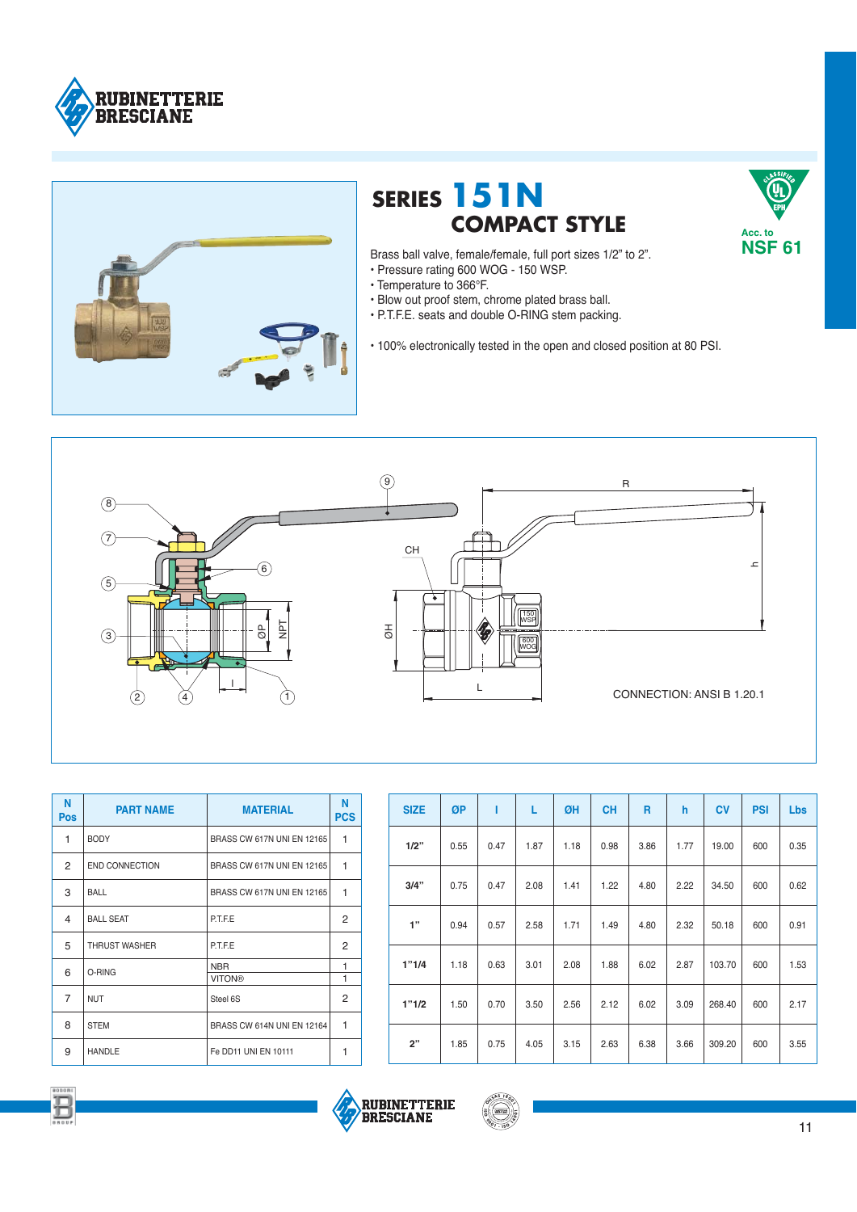



## **SERIES 151N COMPACT STYLE**

Brass ball valve, female/female, full port sizes 1/2" to 2". • Pressure rating 600 WOG - 150 WSP.

- Temperature to 366°F.
- · Blow out proof stem, chrome plated brass ball.
- . P.T.F.E. seats and double O-RING stem packing.

• 100% electronically tested in the open and closed position at 80 PSI.



| N<br><b>Pos</b> | <b>PART NAME</b>      | <b>MATERIAL</b>            | N<br><b>PCS</b> |
|-----------------|-----------------------|----------------------------|-----------------|
| 1               | <b>BODY</b>           | BRASS CW 617N UNI EN 12165 | 1               |
| 2               | <b>END CONNECTION</b> | BRASS CW 617N UNI EN 12165 | 1               |
| 3               | BALL                  | BRASS CW 617N UNI EN 12165 | 1               |
| 4               | <b>BALL SEAT</b>      | <b>P.T.F.E</b>             | 2               |
| 5               | THRUST WASHER         | P.T.F.E                    | 2               |
| 6               |                       | <b>NBR</b>                 | 1               |
|                 | O-RING                | <b>VITON®</b>              | $\mathbf{1}$    |
| $\overline{7}$  | <b>NUT</b>            | Steel 6S                   | 2               |
| 8               | <b>STEM</b>           | BRASS CW 614N UNI EN 12164 | 1               |
| 9               | <b>HANDLE</b>         | Fe DD11 UNI EN 10111       | 1               |

| <b>SIZE</b> | ØP   |      | L    | ØH   | <b>CH</b> | R    | h    | <b>CV</b> | <b>PSI</b> | <b>Lbs</b> |
|-------------|------|------|------|------|-----------|------|------|-----------|------------|------------|
| 1/2"        | 0.55 | 0.47 | 1.87 | 1.18 | 0.98      | 3.86 | 1.77 | 19.00     | 600        | 0.35       |
| 3/4"        | 0.75 | 0.47 | 2.08 | 1.41 | 1.22      | 4.80 | 2.22 | 34.50     | 600        | 0.62       |
| 1"          | 0.94 | 0.57 | 2.58 | 1.71 | 1.49      | 4.80 | 2.32 | 50.18     | 600        | 0.91       |
| 1"1/4       | 1.18 | 0.63 | 3.01 | 2.08 | 1.88      | 6.02 | 2.87 | 103.70    | 600        | 1.53       |
| 1"1/2       | 1.50 | 0.70 | 3.50 | 2.56 | 2.12      | 6.02 | 3.09 | 268.40    | 600        | 2.17       |
| 2"          | 1.85 | 0.75 | 4.05 | 3.15 | 2.63      | 6.38 | 3.66 | 309.20    | 600        | 3.55       |







Uı

Acc. to **NSF 61**